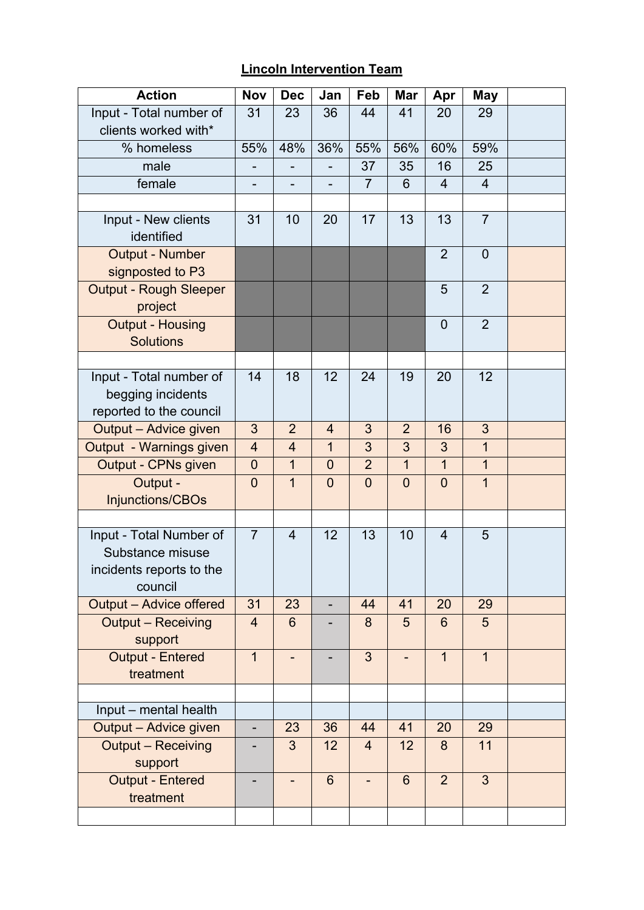## **Lincoln Intervention Team**

| <b>Action</b>                                                                      | <b>Nov</b>     | <b>Dec</b>     | Jan            | Feb            | Mar            | Apr            | May            |  |
|------------------------------------------------------------------------------------|----------------|----------------|----------------|----------------|----------------|----------------|----------------|--|
| Input - Total number of                                                            | 31             | 23             | 36             | 44             | 41             | 20             | 29             |  |
| clients worked with*                                                               |                |                |                |                |                |                |                |  |
| % homeless                                                                         | 55%            | 48%            | 36%            | 55%            | 56%            | 60%            | 59%            |  |
| male                                                                               |                |                |                | 37             | 35             | 16             | 25             |  |
| female                                                                             |                |                |                | $\overline{7}$ | 6              | $\overline{4}$ | $\overline{4}$ |  |
|                                                                                    |                |                |                |                |                |                |                |  |
| Input - New clients<br>identified                                                  | 31             | 10             | 20             | 17             | 13             | 13             | $\overline{7}$ |  |
| <b>Output - Number</b><br>signposted to P3                                         |                |                |                |                |                | $\overline{2}$ | $\overline{0}$ |  |
| Output - Rough Sleeper<br>project                                                  |                |                |                |                |                | 5              | $\overline{2}$ |  |
| <b>Output - Housing</b><br><b>Solutions</b>                                        |                |                |                |                |                | $\mathbf 0$    | $\overline{2}$ |  |
|                                                                                    |                |                |                |                |                |                |                |  |
| Input - Total number of<br>begging incidents<br>reported to the council            | 14             | 18             | 12             | 24             | 19             | 20             | 12             |  |
| Output - Advice given                                                              | 3              | $\overline{2}$ | $\overline{4}$ | 3              | $\overline{2}$ | 16             | 3              |  |
| Output - Warnings given                                                            | $\overline{4}$ | $\overline{4}$ | $\mathbf{1}$   | 3              | 3              | 3              | $\mathbf{1}$   |  |
| Output - CPNs given                                                                | $\overline{0}$ | $\mathbf{1}$   | $\overline{0}$ | $\overline{2}$ | $\mathbf 1$    | $\mathbf{1}$   | $\overline{1}$ |  |
| Output -<br>Injunctions/CBOs                                                       | $\overline{0}$ | $\mathbf 1$    | $\mathbf 0$    | $\overline{0}$ | $\overline{0}$ | $\overline{0}$ | 1              |  |
|                                                                                    |                |                |                |                |                |                |                |  |
| Input - Total Number of<br>Substance misuse<br>incidents reports to the<br>council | $\overline{7}$ | $\overline{4}$ | 12             | 13             | 10             | $\overline{4}$ | 5              |  |
| <b>Output - Advice offered</b>                                                     | 31             | 23             |                | 44             | 41             | 20             | 29             |  |
| <b>Output - Receiving</b><br>support                                               | $\overline{4}$ | $6\phantom{1}$ |                | 8              | 5              | $6\phantom{1}$ | 5              |  |
| <b>Output - Entered</b><br>treatment                                               | $\overline{1}$ |                |                | $\overline{3}$ |                | $\overline{1}$ | $\overline{1}$ |  |
|                                                                                    |                |                |                |                |                |                |                |  |
| Input - mental health                                                              |                |                |                |                |                |                |                |  |
| Output - Advice given                                                              |                | 23             | 36             | 44             | 41             | 20             | 29             |  |
| <b>Output - Receiving</b><br>support                                               |                | 3              | 12             | $\overline{4}$ | 12             | 8              | 11             |  |
| <b>Output - Entered</b><br>treatment                                               |                |                | $6\phantom{1}$ |                | $6\phantom{1}$ | $\overline{2}$ | $\overline{3}$ |  |
|                                                                                    |                |                |                |                |                |                |                |  |